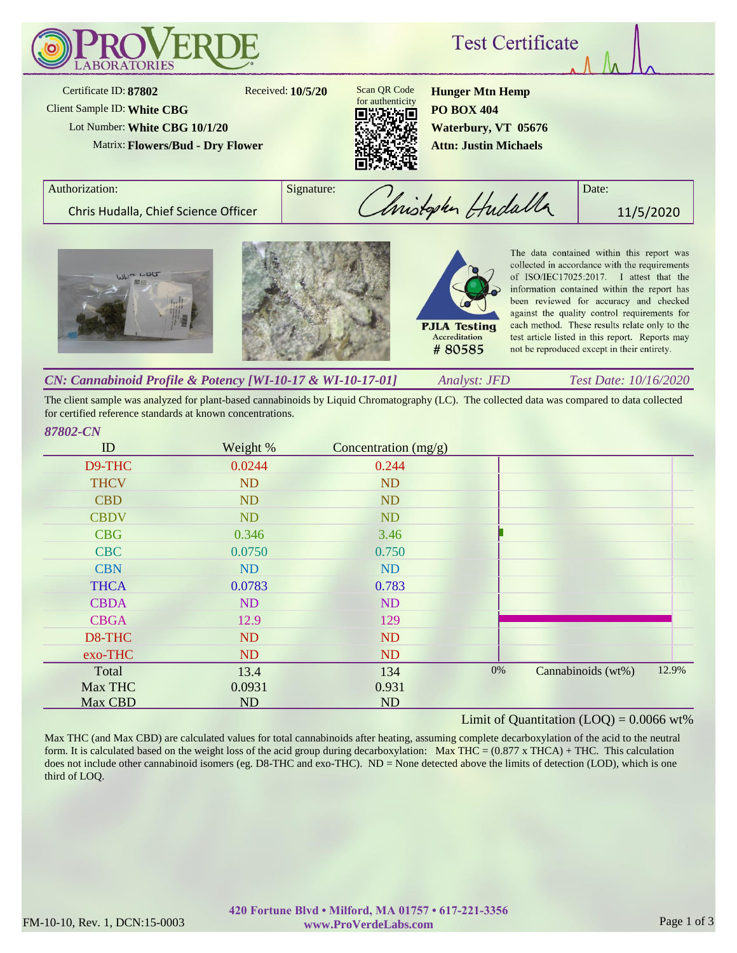

The client sample was analyzed for plant-based cannabinoids by Liquid Chromatography (LC). The collected data was compared to data collected for certified reference standards at known concentrations.

| ID          | Weight %  | Concentration $(mg/g)$ |                                   |  |
|-------------|-----------|------------------------|-----------------------------------|--|
| D9-THC      | 0.0244    | 0.244                  |                                   |  |
| <b>THCV</b> | <b>ND</b> | <b>ND</b>              |                                   |  |
| <b>CBD</b>  | <b>ND</b> | <b>ND</b>              |                                   |  |
| <b>CBDV</b> | ND        | ND                     |                                   |  |
| <b>CBG</b>  | 0.346     | 3.46                   |                                   |  |
| <b>CBC</b>  | 0.0750    | 0.750                  |                                   |  |
| <b>CBN</b>  | <b>ND</b> | ND                     |                                   |  |
| <b>THCA</b> | 0.0783    | 0.783                  |                                   |  |
| <b>CBDA</b> | ND        | <b>ND</b>              |                                   |  |
| <b>CBGA</b> | 12.9      | 129                    |                                   |  |
| D8-THC      | <b>ND</b> | <b>ND</b>              |                                   |  |
| exo-THC     | ND        | <b>ND</b>              |                                   |  |
| Total       | 13.4      | 134                    | 12.9%<br>0%<br>Cannabinoids (wt%) |  |
| Max THC     | 0.0931    | 0.931                  |                                   |  |
| Max CBD     | ND        | <b>ND</b>              |                                   |  |

### Limit of Quantitation  $(LOQ) = 0.0066$  wt%

Max THC (and Max CBD) are calculated values for total cannabinoids after heating, assuming complete decarboxylation of the acid to the neutral form. It is calculated based on the weight loss of the acid group during decarboxylation: Max THC =  $(0.877 \times THCA) + THC$ . This calculation does not include other cannabinoid isomers (eg. D8-THC and exo-THC). ND = None detected above the limits of detection (LOD), which is one third of LOQ.

*87802-CN*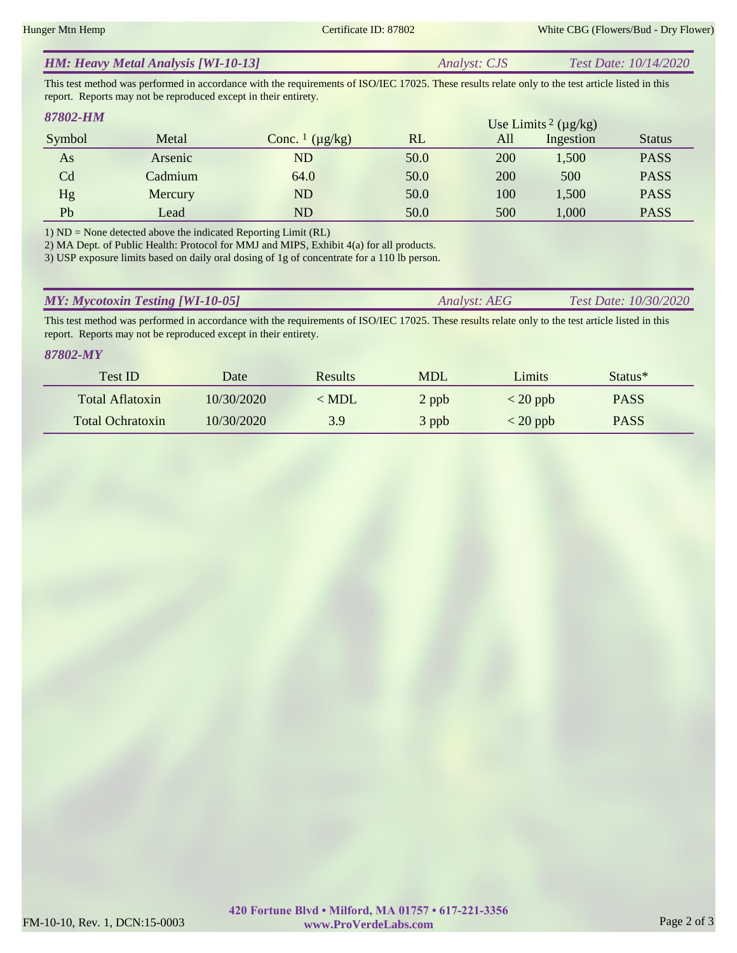This test method was performed in accordance with the requirements of ISO/IEC 17025. These results relate only to the test article listed in this report. Reports may not be reproduced except in their entirety.

#### Symbol Metal Conc. <sup>1</sup> (µg/kg) RL *87802-HM* Use Limits Status  $2 \ (\mu g/kg)$ All Ingestion As Arsenic ND 50.0 200 1,500 PASS Cd Cadmium 64.0 50.0 200 500 PASS Hg Mercury ND 50.0 100 1,500 PASS Pb Lead ND 50.0 500 1,000 PASS

1) ND = None detected above the indicated Reporting Limit (RL)

2) MA Dept. of Public Health: Protocol for MMJ and MIPS, Exhibit 4(a) for all products.

3) USP exposure limits based on daily oral dosing of 1g of concentrate for a 110 lb person.

| <b>MY: Mycotoxin Testing [WI-10-05]</b> | Analyst: AEG | <b>Test Date:</b> $10/30/2020$ |
|-----------------------------------------|--------------|--------------------------------|
|                                         |              |                                |

This test method was performed in accordance with the requirements of ISO/IEC 17025. These results relate only to the test article listed in this report. Reports may not be reproduced except in their entirety.

*87802-MY*

| Test ID                 | Date       | <b>Results</b> | <b>MDL</b> | Limits                           | Status <sup>*</sup> |  |
|-------------------------|------------|----------------|------------|----------------------------------|---------------------|--|
| Total Aflatoxin         | 10/30/2020 | < MDL          | 2 ppb      | $\langle 20 \text{ ppb} \rangle$ | <b>PASS</b>         |  |
| <b>Total Ochratoxin</b> | 10/30/2020 | 3.9            | 3 ppb      | $<$ 20 ppb                       | <b>PASS</b>         |  |